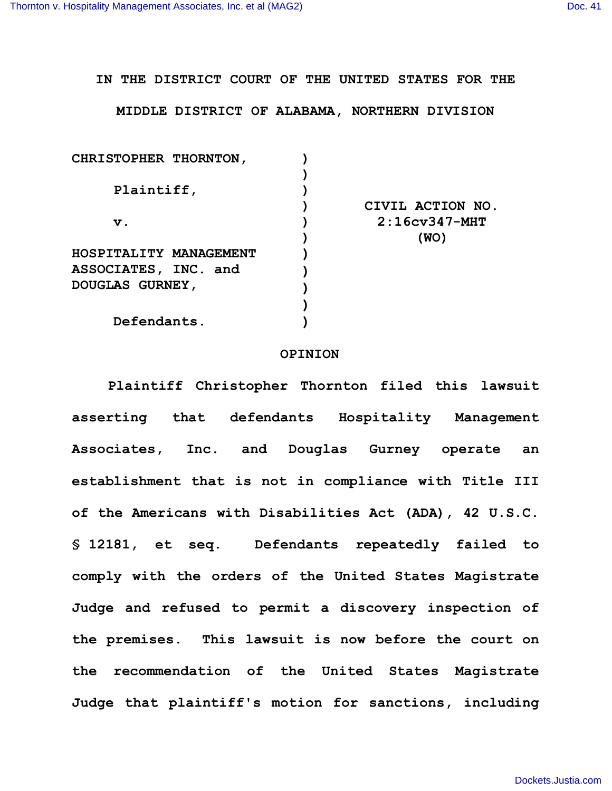**IN THE DISTRICT COURT OF THE UNITED STATES FOR THE**

**MIDDLE DISTRICT OF ALABAMA, NORTHERN DIVISION**

| CHRISTOPHER THORNTON,  |                   |
|------------------------|-------------------|
|                        |                   |
| Plaintiff,             |                   |
|                        | CIVIL ACTION NO.  |
| $\mathbf v$ .          | $2:16cv347 - MHT$ |
|                        | (WO)              |
| HOSPITALITY MANAGEMENT |                   |
| ASSOCIATES, INC. and   |                   |
| <b>DOUGLAS GURNEY,</b> |                   |
|                        |                   |
| Defendants.            |                   |
|                        |                   |

## **OPINION**

**Plaintiff Christopher Thornton filed this lawsuit asserting that defendants Hospitality Management Associates, Inc. and Douglas Gurney operate an establishment that is not in compliance with Title III of the Americans with Disabilities Act (ADA), 42 U.S.C. § 12181, et seq. Defendants repeatedly failed to comply with the orders of the United States Magistrate Judge and refused to permit a discovery inspection of the premises. This lawsuit is now before the court on the recommendation of the United States Magistrate Judge that plaintiff's motion for sanctions, including**